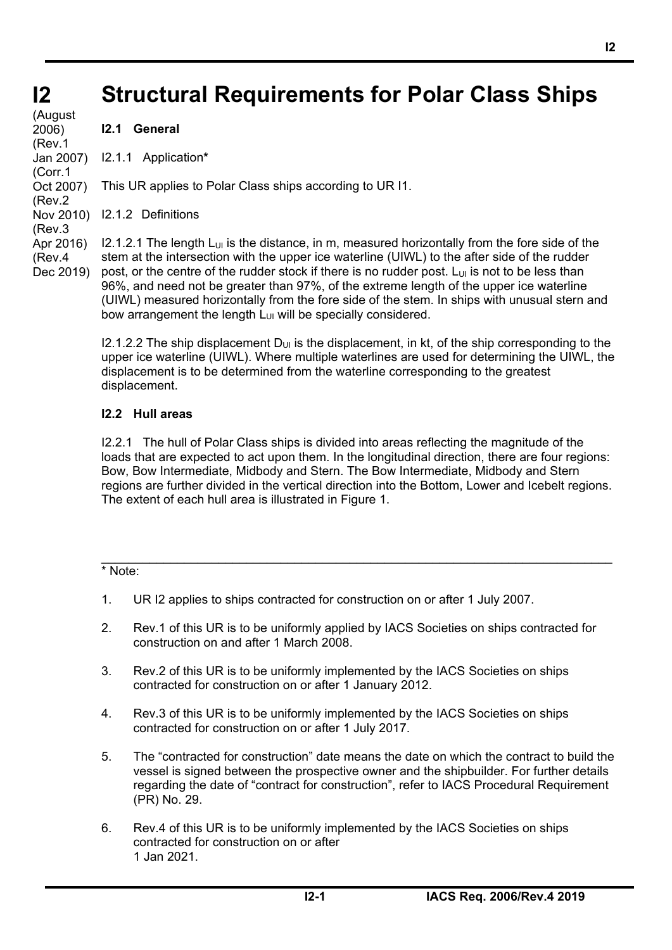## **Structural Requirements for Polar Class Ships**

This UR applies to Polar Class ships according to UR I1.

**I2 I2**  (August 2006) (Rev.1 Jan 2007) (Corr.1 Oct 2007) (Rev.2 (Rev.3 Apr 2016) (Rev.4 Dec 2019)

Nov 2010) I2.1.2 Definitions  $I2.1.2.1$  The length  $L_{UL}$  is the distance, in m, measured horizontally from the fore side of the stem at the intersection with the upper ice waterline (UIWL) to the after side of the rudder post, or the centre of the rudder stock if there is no rudder post.  $L_{UL}$  is not to be less than 96%, and need not be greater than 97%, of the extreme length of the upper ice waterline (UIWL) measured horizontally from the fore side of the stem. In ships with unusual stern and

> bow arrangement the length  $L_{U1}$  will be specially considered. I2.1.2.2 The ship displacement  $D_{U1}$  is the displacement, in kt, of the ship corresponding to the upper ice waterline (UIWL). Where multiple waterlines are used for determining the UIWL, the displacement is to be determined from the waterline corresponding to the greatest

## **I2.2 Hull areas**

displacement.

**I2.1 General** 

I2.1.1 Application**\***

I2.2.1 The hull of Polar Class ships is divided into areas reflecting the magnitude of the loads that are expected to act upon them. In the longitudinal direction, there are four regions: Bow, Bow Intermediate, Midbody and Stern. The Bow Intermediate, Midbody and Stern regions are further divided in the vertical direction into the Bottom, Lower and Icebelt regions. The extent of each hull area is illustrated in Figure 1.

#### \_\_\_\_\_\_\_\_\_\_\_\_\_\_\_\_\_\_\_\_\_\_\_\_\_\_\_\_\_\_\_\_\_\_\_\_\_\_\_\_\_\_\_\_\_\_\_\_\_\_\_\_\_\_\_\_\_\_\_\_\_\_\_\_\_\_\_\_\_\_\_\_\_\_ \* Note:

֦

- 1. UR I2 applies to ships contracted for construction on or after 1 July 2007.
- 2. Rev.1 of this UR is to be uniformly applied by IACS Societies on ships contracted for construction on and after 1 March 2008.
- 3. Rev.2 of this UR is to be uniformly implemented by the IACS Societies on ships contracted for construction on or after 1 January 2012.
- 4. Rev.3 of this UR is to be uniformly implemented by the IACS Societies on ships contracted for construction on or after 1 July 2017.
- 5. The "contracted for construction" date means the date on which the contract to build the vessel is signed between the prospective owner and the shipbuilder. For further details regarding the date of "contract for construction", refer to IACS Procedural Requirement (PR) No. 29.
- 6. Rev.4 of this UR is to be uniformly implemented by the IACS Societies on ships contracted for construction on or after 1 Jan 2021.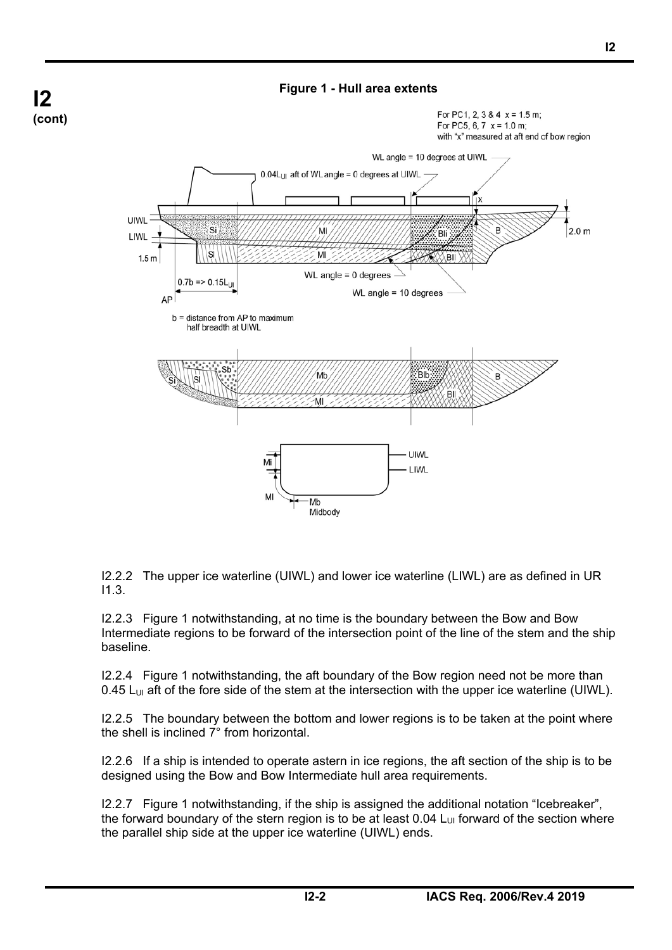

**Figure 1 - Hull area extents** 

I2.2.2 The upper ice waterline (UIWL) and lower ice waterline (LIWL) are as defined in UR I1.3.

I2.2.3 Figure 1 notwithstanding, at no time is the boundary between the Bow and Bow Intermediate regions to be forward of the intersection point of the line of the stem and the ship baseline.

I2.2.4 Figure 1 notwithstanding, the aft boundary of the Bow region need not be more than 0.45 L<sub>UI</sub> aft of the fore side of the stem at the intersection with the upper ice waterline (UIWL).

I2.2.5 The boundary between the bottom and lower regions is to be taken at the point where the shell is inclined 7° from horizontal.

I2.2.6 If a ship is intended to operate astern in ice regions, the aft section of the ship is to be designed using the Bow and Bow Intermediate hull area requirements.

I2.2.7 Figure 1 notwithstanding, if the ship is assigned the additional notation "Icebreaker", the forward boundary of the stern region is to be at least  $0.04 L<sub>U1</sub>$  forward of the section where the parallel ship side at the upper ice waterline (UIWL) ends.

֦

**I2** 

**(cont)**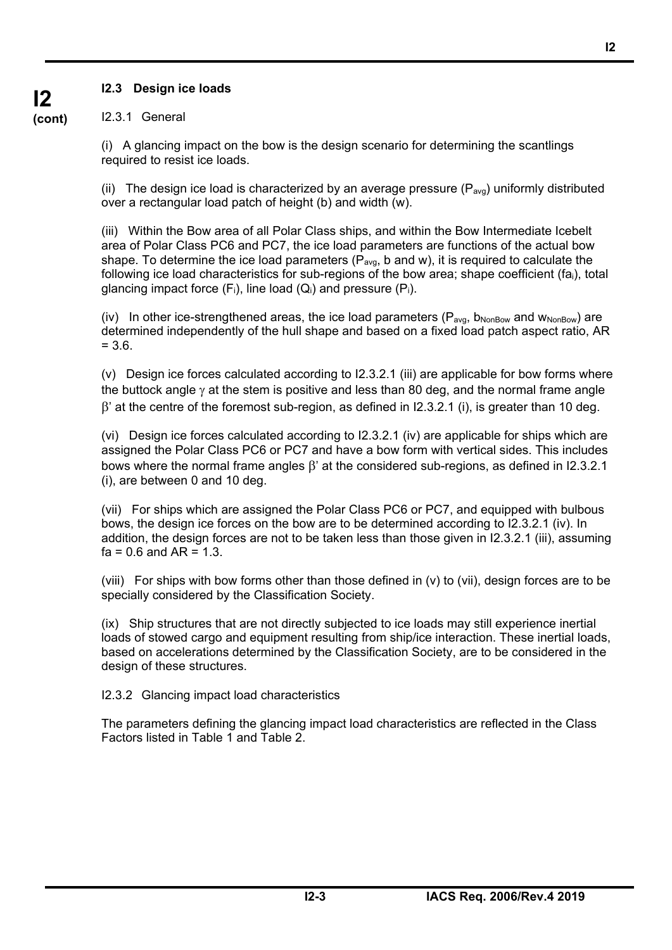## **I2.3 Design ice loads**

## **I2 (cont)**

### I2.3.1 General

(i) A glancing impact on the bow is the design scenario for determining the scantlings required to resist ice loads.

(ii) The design ice load is characterized by an average pressure  $(P_{\text{avg}})$  uniformly distributed over a rectangular load patch of height (b) and width (w).

(iii) Within the Bow area of all Polar Class ships, and within the Bow Intermediate Icebelt area of Polar Class PC6 and PC7, the ice load parameters are functions of the actual bow shape. To determine the ice load parameters ( $P_{avg}$ , b and w), it is required to calculate the following ice load characteristics for sub-regions of the bow area; shape coefficient (fai), total glancing impact force  $(F_i)$ , line load  $(Q_i)$  and pressure  $(P_i)$ .

(iv) In other ice-strengthened areas, the ice load parameters ( $P_{\text{avg}}$ ,  $b_{\text{NonRow}}$  and  $w_{\text{NonRow}}$ ) are determined independently of the hull shape and based on a fixed load patch aspect ratio, AR  $= 3.6.$ 

(v) Design ice forces calculated according to I2.3.2.1 (iii) are applicable for bow forms where the buttock angle  $\gamma$  at the stem is positive and less than 80 deg, and the normal frame angle  $\beta'$  at the centre of the foremost sub-region, as defined in 12.3.2.1 (i), is greater than 10 deg.

(vi) Design ice forces calculated according to I2.3.2.1 (iv) are applicable for ships which are assigned the Polar Class PC6 or PC7 and have a bow form with vertical sides. This includes bows where the normal frame angles  $\beta'$  at the considered sub-regions, as defined in I2.3.2.1 (i), are between 0 and 10 deg.

(vii) For ships which are assigned the Polar Class PC6 or PC7, and equipped with bulbous bows, the design ice forces on the bow are to be determined according to I2.3.2.1 (iv). In addition, the design forces are not to be taken less than those given in I2.3.2.1 (iii), assuming  $fa = 0.6$  and  $AR = 1.3$ .

(viii) For ships with bow forms other than those defined in (v) to (vii), design forces are to be specially considered by the Classification Society.

(ix) Ship structures that are not directly subjected to ice loads may still experience inertial loads of stowed cargo and equipment resulting from ship/ice interaction. These inertial loads, based on accelerations determined by the Classification Society, are to be considered in the design of these structures.

I2.3.2 Glancing impact load characteristics

֦

The parameters defining the glancing impact load characteristics are reflected in the Class Factors listed in Table 1 and Table 2.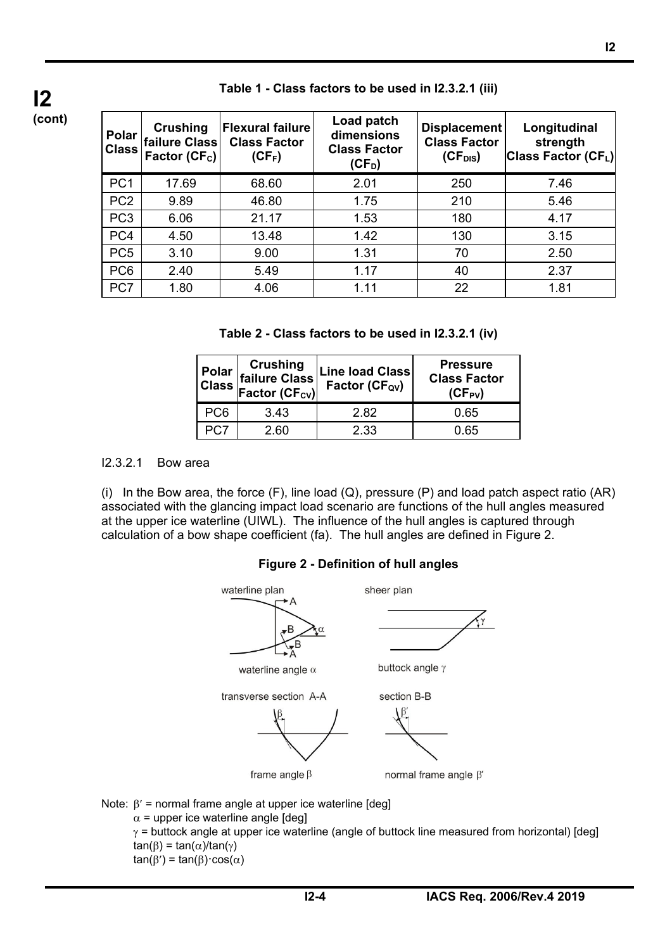| Polar<br><b>Class</b> | Crushing<br>failure Class<br>Factor (CF <sub>c</sub> ) | <b>Flexural failure</b><br><b>Class Factor</b><br>$(CF_F)$ | Load patch<br>dimensions<br><b>Class Factor</b><br>$(CF_D)$ | Displacement<br><b>Class Factor</b><br>$(CF_{DIS})$ | Longitudinal<br>strength<br>Class Factor (CFL) |
|-----------------------|--------------------------------------------------------|------------------------------------------------------------|-------------------------------------------------------------|-----------------------------------------------------|------------------------------------------------|
| PC <sub>1</sub>       | 17.69                                                  | 68.60                                                      | 2.01                                                        | 250                                                 | 7.46                                           |
| PC <sub>2</sub>       | 9.89                                                   | 46.80                                                      | 1.75                                                        | 210                                                 | 5.46                                           |
| PC <sub>3</sub>       | 6.06                                                   | 21.17                                                      | 1.53                                                        | 180                                                 | 4.17                                           |
| PC4                   | 4.50                                                   | 13.48                                                      | 1.42                                                        | 130                                                 | 3.15                                           |
| PC <sub>5</sub>       | 3.10                                                   | 9.00                                                       | 1.31                                                        | 70                                                  | 2.50                                           |
| PC <sub>6</sub>       | 2.40                                                   | 5.49                                                       | 1.17                                                        | 40                                                  | 2.37                                           |
| PC7                   | 1.80                                                   | 4.06                                                       | 1.11                                                        | 22                                                  | 1.81                                           |

#### **Table 1 - Class factors to be used in I2.3.2.1 (iii)**

| Table 2 - Class factors to be used in I2.3.2.1 (iv) |  |  |  |  |
|-----------------------------------------------------|--|--|--|--|
|-----------------------------------------------------|--|--|--|--|

|      | <b>Polar Crushing<br/>Class failure Class</b><br>Factor (CF <sub>cv)</sub> | <b>Line load Class</b><br>Factor (CF <sub>ov</sub> ) | <b>Pressure</b><br><b>Class Factor</b><br>$(CF_{PV})$ |  |  |
|------|----------------------------------------------------------------------------|------------------------------------------------------|-------------------------------------------------------|--|--|
| PC6  | 3.43                                                                       | 2.82                                                 | 0.65                                                  |  |  |
| ንር:7 | 2.60                                                                       | 2.33                                                 | 0.65                                                  |  |  |

#### I2.3.2.1 Bow area

**I2 (cont)**

֦

(i) In the Bow area, the force  $(F)$ , line load  $(Q)$ , pressure  $(P)$  and load patch aspect ratio  $(AR)$ associated with the glancing impact load scenario are functions of the hull angles measured at the upper ice waterline (UIWL). The influence of the hull angles is captured through calculation of a bow shape coefficient (fa). The hull angles are defined in Figure 2.



## **Figure 2 - Definition of hull angles**

Note:  $\beta'$  = normal frame angle at upper ice waterline [deg]  $\alpha$  = upper ice waterline angle [deg]  $\gamma$  = buttock angle at upper ice waterline (angle of buttock line measured from horizontal) [deg]  $tan(\beta) = tan(\alpha)/tan(\gamma)$  $tan(\beta') = tan(\beta) \cdot cos(\alpha)$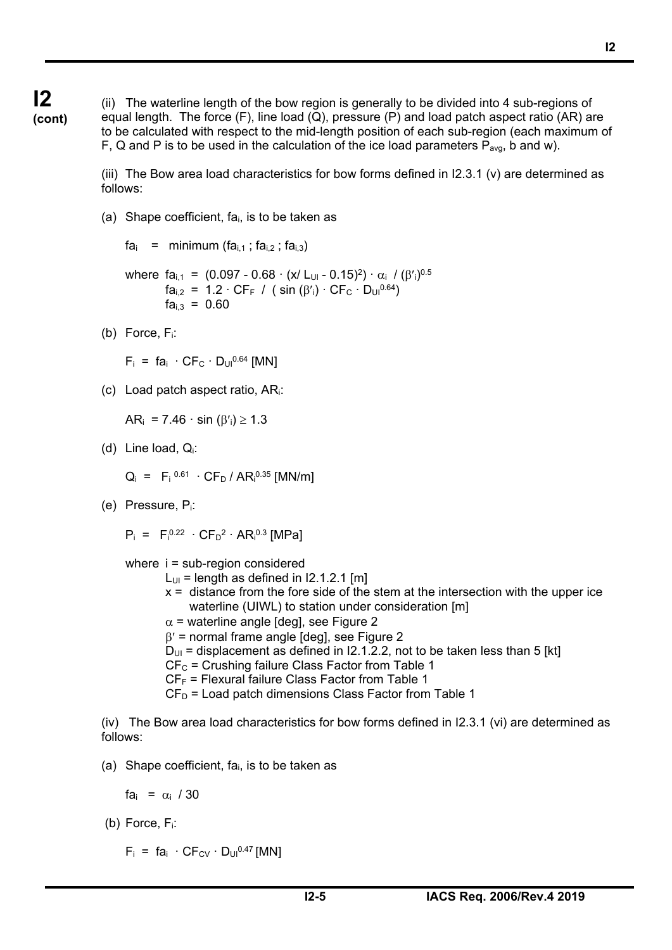**I2 (cont)**

(ii) The waterline length of the bow region is generally to be divided into 4 sub-regions of equal length. The force  $(F)$ , line load  $(Q)$ , pressure  $(P)$  and load patch aspect ratio  $(AR)$  are to be calculated with respect to the mid-length position of each sub-region (each maximum of F, Q and P is to be used in the calculation of the ice load parameters  $P_{\text{ava}}$ , b and w).

(iii) The Bow area load characteristics for bow forms defined in I2.3.1 (v) are determined as follows:

(a) Shape coefficient, fa<sub>i</sub>, is to be taken as

 $fa_i$  = minimum ( $fa_{i,1}$ ;  $fa_{i,2}$ ;  $fa_{i,3}$ )

where  $fa_{i,1} = (0.097 - 0.68 \cdot (x/L_{U1} - 0.15)^2) \cdot \alpha_i / (\beta'_i)^{0.5}$  $fa_{i,2} = 1.2 \cdot CF_F$  / (sin  $(\beta'_i) \cdot CF_C \cdot D_{U}^{0.64}$ )  $fa<sub>i,3</sub> = 0.60$ 

(b) Force, Fi:

 $F_i = fa_i \cdot CF_C \cdot D_{UI}^{0.64}$  [MN]

(c) Load patch aspect ratio, ARi:

 $AR_i = 7.46 \cdot \sin (\beta_i) \ge 1.3$ 

(d) Line load, Qi:

 $Q_i = F_i^{0.61} \cdot C F_D / AR_i^{0.35}$  [MN/m]

(e) Pressure, Pi:

 $P_i = F_i^{0.22} \cdot C F_D^2 \cdot AR_i^{0.3}$  [MPa]

- where i = sub-region considered
	- $L_{UI}$  = length as defined in I2.1.2.1 [m]
	- $x =$  distance from the fore side of the stem at the intersection with the upper ice waterline (UIWL) to station under consideration [m]
	- $\alpha$  = waterline angle [deg], see Figure 2
	- $\beta$ ' = normal frame angle [deg], see Figure 2
	- $D_{UI}$  = displacement as defined in I2.1.2.2, not to be taken less than 5 [kt]
	- $CF_C$  = Crushing failure Class Factor from Table 1
	- $CF_F$  = Flexural failure Class Factor from Table 1
	- $CF<sub>D</sub>$  = Load patch dimensions Class Factor from Table 1

(iv) The Bow area load characteristics for bow forms defined in I2.3.1 (vi) are determined as follows:

(a) Shape coefficient, fa<sub>i</sub>, is to be taken as

 $fa_i = \alpha_i / 30$ 

(b) Force, Fi:

֦

 $F_i = fa_i \cdot C F_{CV} \cdot D_{U1}^{0.47}$  [MN]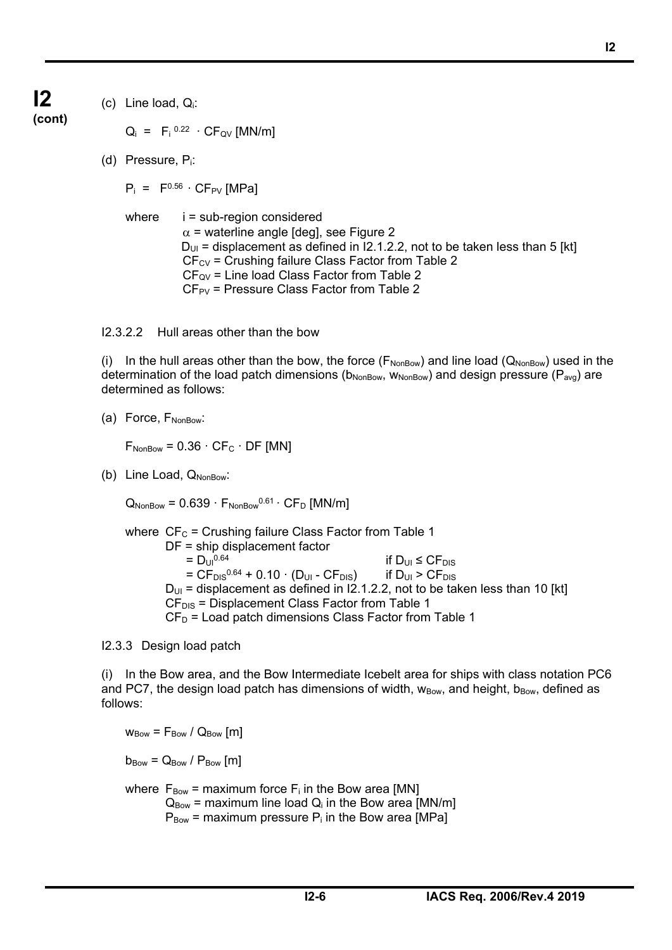## **I2 (cont)**

(c) Line load,  $Q_i$ :

 $Q_i = F_i^{0.22} \cdot CF_{QV}$  [MN/m]

(d) Pressure, Pi:

 $P_i$  =  $F^{0.56}$   $\cdot$  CF<sub>PV</sub> [MPa]

where  $i = sub-region$  considered  $\alpha$  = waterline angle [deg], see Figure 2  $D_{UI}$  = displacement as defined in  $12.1.2.2$ , not to be taken less than 5 [kt]  $CF_{CV}$  = Crushing failure Class Factor from Table 2  $CF_{QV}$  = Line load Class Factor from Table 2  $CF_{PV}$  = Pressure Class Factor from Table 2

## I2.3.2.2 Hull areas other than the bow

(i) In the hull areas other than the bow, the force ( $F_{NoIBow}$ ) and line load ( $Q_{NoIBow}$ ) used in the determination of the load patch dimensions ( $b_{Nonbow}$ ,  $W_{Nonbow}$ ) and design pressure ( $P_{avg}$ ) are determined as follows:

 $(a)$  Force,  $F_{NonBox}$ :

 $F_{\text{NonBow}} = 0.36 \cdot \text{CF}_{\text{C}} \cdot \text{DF}$  [MN]

(b) Line Load,  $Q_{NonBox}$ :

 $Q_{\text{NonBow}} = 0.639 \cdot F_{\text{NonBow}}^{0.61} \cdot C F_{\text{D}}$  [MN/m]

where  $CF_C$  = Crushing failure Class Factor from Table 1 DF = ship displacement factor  $= D_{\text{U}}^{0.64}$  if  $D_{\text{U}} \leq C F_{\text{DIS}}$  $= C F_{DIS}^{0.64} + 0.10 \cdot (D_{UI} - C F_{DIS})$  if  $D_{UI} > C F_{DIS}$  $D_{UI}$  = displacement as defined in I2.1.2.2, not to be taken less than 10 [kt]  $CF<sub>DIS</sub>$  = Displacement Class Factor from Table 1  $CF<sub>D</sub>$  = Load patch dimensions Class Factor from Table 1

I2.3.3 Design load patch

֦

(i) In the Bow area, and the Bow Intermediate Icebelt area for ships with class notation PC6 and PC7, the design load patch has dimensions of width,  $w_{\text{Bow}}$ , and height,  $b_{\text{Bow}}$ , defined as follows:

 $W_{\text{Bow}} = F_{\text{Bow}} / Q_{\text{Bow}}$  [m]  $b_{\text{Bow}} = Q_{\text{Bow}} / P_{\text{Bow}}$  [m] where  $F_{\text{Box}}$  = maximum force  $F_i$  in the Bow area [MN]  $Q_{\text{Bow}}$  = maximum line load  $Q_i$  in the Bow area [MN/m]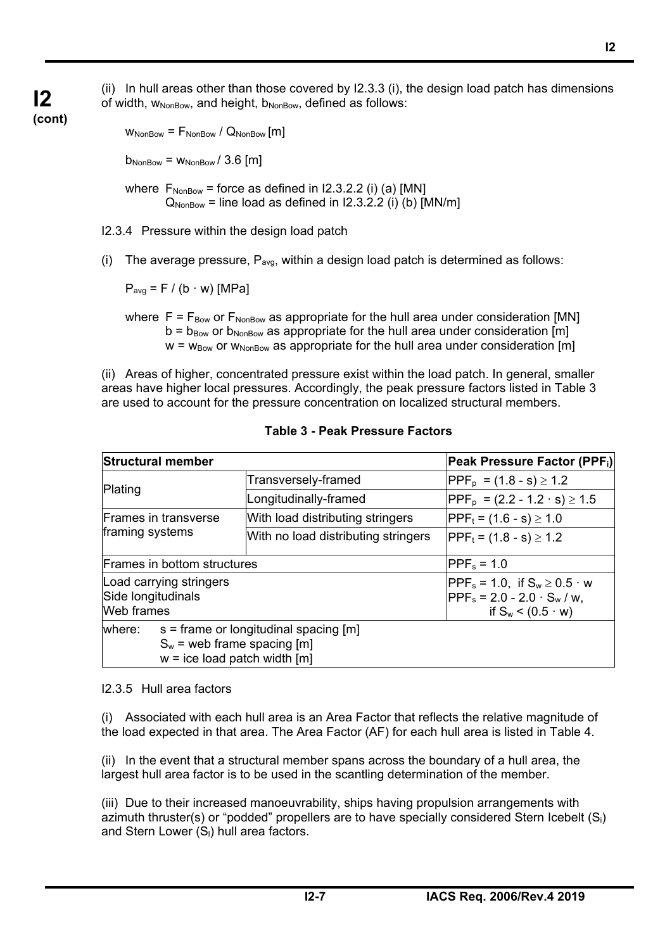(ii) In hull areas other than those covered by I2.3.3 (i), the design load patch has dimensions of width,  $W_{NonBox}$ , and height,  $b_{NonBox}$ , defined as follows:

## **(cont)**

**I2** 

 $W_{\text{NonBox}} = F_{\text{NonBox}} / Q_{\text{NonBox}}$  [m]

 $b_{\text{NonBox}} = W_{\text{NonBox}} / 3.6$  [m]

where  $F_{\text{NonBox}}$  = force as defined in I2.3.2.2 (i) (a) [MN]  $Q_{NonRow}$  = line load as defined in I2.3.2.2 (i) (b) [MN/m]

I2.3.4 Pressure within the design load patch

(i) The average pressure,  $P_{avg}$ , within a design load patch is determined as follows:

 $P_{avg} = F / (b \cdot w)$  [MPa]

where  $F = F_{\text{Box}}$  or  $F_{\text{NonBox}}$  as appropriate for the hull area under consideration [MN]  $b = b_{\text{Box}}$  or  $b_{\text{NonBox}}$  as appropriate for the hull area under consideration [m]  $w = w_{\text{Bow}}$  or  $w_{\text{NonBow}}$  as appropriate for the hull area under consideration [m]

(ii) Areas of higher, concentrated pressure exist within the load patch. In general, smaller areas have higher local pressures. Accordingly, the peak pressure factors listed in Table 3 are used to account for the pressure concentration on localized structural members.

| <b>Structural member</b>                                                                                             |  | Peak Pressure Factor (PPF;)         |                                                                                                               |  |  |  |  |
|----------------------------------------------------------------------------------------------------------------------|--|-------------------------------------|---------------------------------------------------------------------------------------------------------------|--|--|--|--|
|                                                                                                                      |  | Transversely-framed                 | $ PPF_p = (1.8 - s) \ge 1.2$                                                                                  |  |  |  |  |
| Plating                                                                                                              |  | Longitudinally-framed               | $ PPF_p = (2.2 - 1.2 \cdot s) \ge 1.5$                                                                        |  |  |  |  |
| Frames in transverse                                                                                                 |  | With load distributing stringers    | $ PPF_t = (1.6 - s) \ge 1.0$                                                                                  |  |  |  |  |
| framing systems                                                                                                      |  | With no load distributing stringers | $ PPF_t = (1.8 - s) \ge 1.2$                                                                                  |  |  |  |  |
| Frames in bottom structures                                                                                          |  |                                     | $PPF_s = 1.0$                                                                                                 |  |  |  |  |
| Load carrying stringers<br>Side longitudinals<br><b>Web</b> frames                                                   |  |                                     | $ PPF_s = 1.0$ , if $S_w \ge 0.5 \cdot w$<br>$ PPF_s = 2.0 - 2.0 \cdot S_w / w$ ,<br>if $S_w < (0.5 \cdot w)$ |  |  |  |  |
| $s =$ frame or longitudinal spacing [m]<br>where:<br>$S_w$ = web frame spacing [m]<br>$w = ice load patch width [m]$ |  |                                     |                                                                                                               |  |  |  |  |

## **Table 3 - Peak Pressure Factors**

#### I2.3.5 Hull area factors

֦

(i) Associated with each hull area is an Area Factor that reflects the relative magnitude of the load expected in that area. The Area Factor (AF) for each hull area is listed in Table 4.

(ii) In the event that a structural member spans across the boundary of a hull area, the largest hull area factor is to be used in the scantling determination of the member.

(iii) Due to their increased manoeuvrability, ships having propulsion arrangements with azimuth thruster(s) or "podded" propellers are to have specially considered Stern Icebelt  $(S_i)$ and Stern Lower  $(S<sub>l</sub>)$  hull area factors.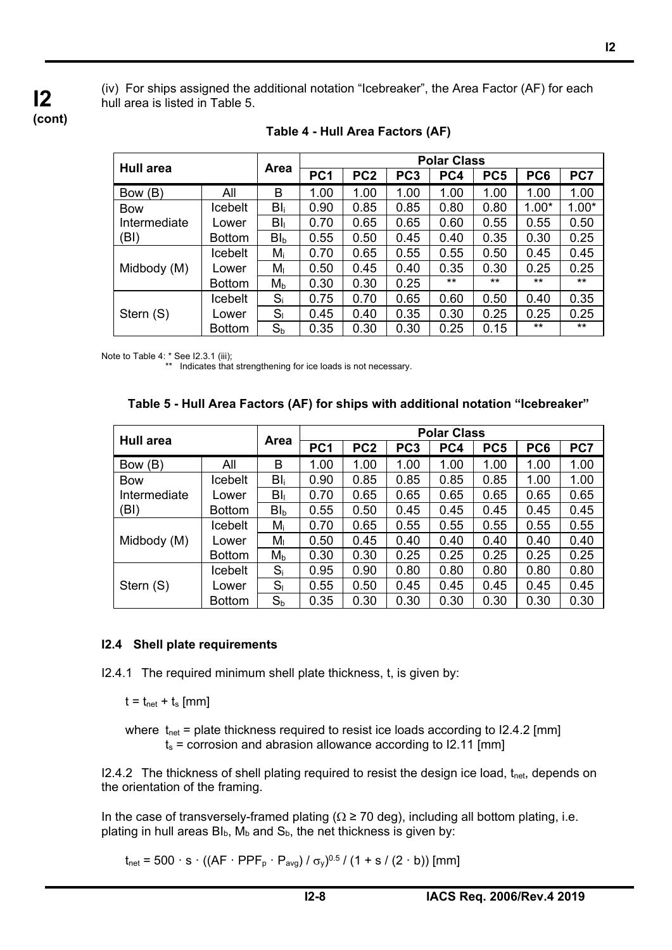(iv) For ships assigned the additional notation "Icebreaker", the Area Factor (AF) for each hull area is listed in Table 5.

**(cont)**

**I2** 

|                  |                | <b>Polar Class</b> |                 |                 |      |                 |                 |              |         |  |
|------------------|----------------|--------------------|-----------------|-----------------|------|-----------------|-----------------|--------------|---------|--|
| <b>Hull area</b> | Area           | PC <sub>1</sub>    | PC <sub>2</sub> | PC <sub>3</sub> | PC4  | PC <sub>5</sub> | PC <sub>6</sub> | PC7          |         |  |
| Bow (B)          | All            | B                  | 1.00            | 1.00            | 1.00 | 1.00            | 1.00            | 1.00         | 1.00    |  |
| <b>Bow</b>       | Icebelt        | $BI_i$             | 0.90            | 0.85            | 0.85 | 0.80            | 0.80            | $1.00*$      | $1.00*$ |  |
| Intermediate     | Lower          | $BI_{\parallel}$   | 0.70            | 0.65            | 0.65 | 0.60            | 0.55            | 0.55         | 0.50    |  |
| (BI)             | <b>Bottom</b>  | $BI_{b}$           | 0.55            | 0.50            | 0.45 | 0.40            | 0.35            | 0.30         | 0.25    |  |
|                  | Icebelt        | $M_i$              | 0.70            | 0.65            | 0.55 | 0.55            | 0.50            | 0.45         | 0.45    |  |
| Midbody (M)      | Lower          | M <sub>1</sub>     | 0.50            | 0.45            | 0.40 | 0.35            | 0.30            | 0.25         | 0.25    |  |
|                  | <b>Bottom</b>  | $M_{b}$            | 0.30            | 0.30            | 0.25 | $***$           | $***$           | $***$        | $***$   |  |
|                  | <b>Icebelt</b> | $S_i$              | 0.75            | 0.70            | 0.65 | 0.60            | 0.50            | 0.40         | 0.35    |  |
| Stern (S)        | Lower          | S <sub>1</sub>     | 0.45            | 0.40            | 0.35 | 0.30            | 0.25            | 0.25         | 0.25    |  |
|                  | <b>Bottom</b>  | $S_b$              | 0.35            | 0.30            | 0.30 | 0.25            | 0.15            | $\star\star$ | $***$   |  |

**Table 4 - Hull Area Factors (AF)** 

Note to Table 4: \* See I2.3.1 (iii);

\*\* Indicates that strengthening for ice loads is not necessary.

## **Table 5 - Hull Area Factors (AF) for ships with additional notation "Icebreaker"**

|              |                | <b>Polar Class</b> |                 |                 |      |                 |                 |      |      |  |
|--------------|----------------|--------------------|-----------------|-----------------|------|-----------------|-----------------|------|------|--|
| Hull area    | <b>Area</b>    | PC <sub>1</sub>    | PC <sub>2</sub> | PC <sub>3</sub> | PC4  | PC <sub>5</sub> | PC <sub>6</sub> | PC7  |      |  |
| Bow (B)      | All            | B                  | 1.00            | 1.00            | 1.00 | 1.00            | 1.00            | 1.00 | 1.00 |  |
| <b>Bow</b>   | <b>Icebelt</b> | $B _i$             | 0.90            | 0.85            | 0.85 | 0.85            | 0.85            | 1.00 | 1.00 |  |
| Intermediate | Lower          | $BI_{1}$           | 0.70            | 0.65            | 0.65 | 0.65            | 0.65            | 0.65 | 0.65 |  |
| (BI)         | <b>Bottom</b>  | $BI_{b}$           | 0.55            | 0.50            | 0.45 | 0.45            | 0.45            | 0.45 | 0.45 |  |
|              | <b>Icebelt</b> | $M_i$              | 0.70            | 0.65            | 0.55 | 0.55            | 0.55            | 0.55 | 0.55 |  |
| Midbody (M)  | Lower          | M <sub>1</sub>     | 0.50            | 0.45            | 0.40 | 0.40            | 0.40            | 0.40 | 0.40 |  |
|              | <b>Bottom</b>  | M <sub>b</sub>     | 0.30            | 0.30            | 0.25 | 0.25            | 0.25            | 0.25 | 0.25 |  |
|              | <b>Icebelt</b> | $S_i$              | 0.95            | 0.90            | 0.80 | 0.80            | 0.80            | 0.80 | 0.80 |  |
| Stern (S)    | Lower          | $S_{I}$            | 0.55            | 0.50            | 0.45 | 0.45            | 0.45            | 0.45 | 0.45 |  |
|              | <b>Bottom</b>  | $S_{b}$            | 0.35            | 0.30            | 0.30 | 0.30            | 0.30            | 0.30 | 0.30 |  |

## **I2.4 Shell plate requirements**

I2.4.1 The required minimum shell plate thickness, t, is given by:

 $t = t_{net} + t_s$  [mm]

֦

where  $t_{net}$  = plate thickness required to resist ice loads according to I2.4.2 [mm]  $t_s$  = corrosion and abrasion allowance according to I2.11 [mm]

I2.4.2 The thickness of shell plating required to resist the design ice load,  $t<sub>net</sub>$ , depends on the orientation of the framing.

In the case of transversely-framed plating ( $\Omega \ge 70$  deg), including all bottom plating, i.e. plating in hull areas  $Bl_b$ ,  $M_b$  and  $S_b$ , the net thickness is given by:

 $t_{net} = 500 \cdot s \cdot ((AF \cdot PPF_p \cdot P_{avg}) / \sigma_v)^{0.5} / (1 + s / (2 \cdot b))$  [mm]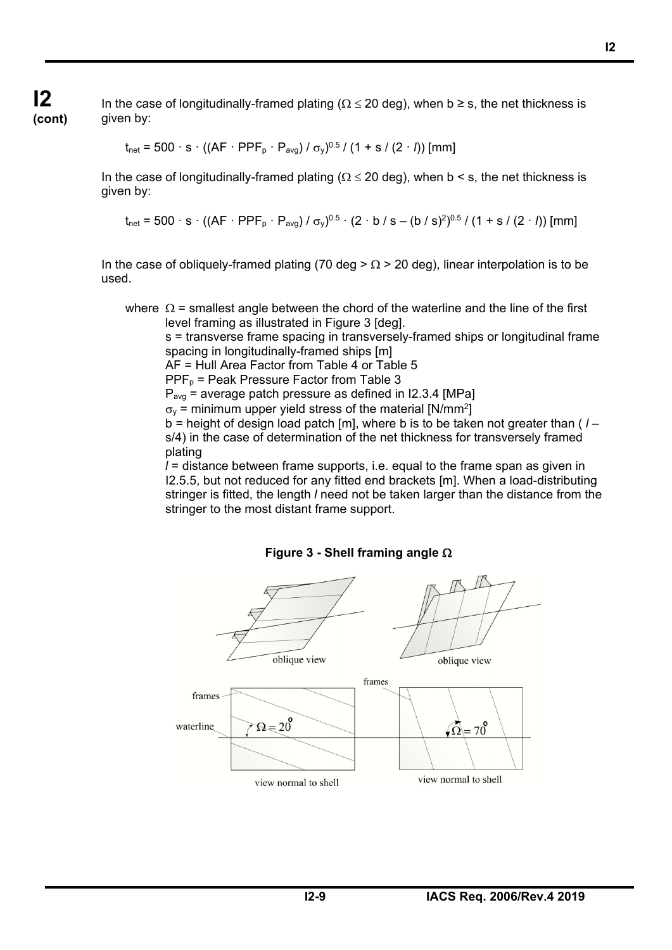**I2 (cont)**

֦

In the case of longitudinally-framed plating ( $\Omega \le 20$  deg), when b  $\ge$  s, the net thickness is given by:

$$
t_{\text{net}} = 500 \cdot s \cdot ((AF \cdot PPF_p \cdot P_{\text{avg}}) / \sigma_y)^{0.5} / (1 + s / (2 \cdot l))
$$
 [mm]

In the case of longitudinally-framed plating ( $\Omega \le 20$  deg), when b < s, the net thickness is given by:

$$
t_{\text{net}} = 500 \cdot s \cdot ((AF \cdot PPF_p \cdot P_{\text{avg}}) / \sigma_y)^{0.5} \cdot (2 \cdot b / s - (b / s)^2)^{0.5} / (1 + s / (2 \cdot l))
$$
 [mm]

In the case of obliquely-framed plating (70 deg  $> \Omega > 20$  deg), linear interpolation is to be used.

where  $\Omega$  = smallest angle between the chord of the waterline and the line of the first level framing as illustrated in Figure 3 [deg].

 s = transverse frame spacing in transversely-framed ships or longitudinal frame spacing in longitudinally-framed ships [m]

AF = Hull Area Factor from Table 4 or Table 5

 $PPF<sub>p</sub>$  = Peak Pressure Factor from Table 3

 $P_{\text{avg}}$  = average patch pressure as defined in I2.3.4 [MPa]

 $\sigma_{\rm v}$  = minimum upper yield stress of the material [N/mm<sup>2</sup>]

 b = height of design load patch [m], where b is to be taken not greater than ( *l* – s/4) in the case of determination of the net thickness for transversely framed plating

 *l* = distance between frame supports, i.e. equal to the frame span as given in I2.5.5, but not reduced for any fitted end brackets [m]. When a load-distributing stringer is fitted, the length *l* need not be taken larger than the distance from the stringer to the most distant frame support.



### **Figure 3 - Shell framing angle**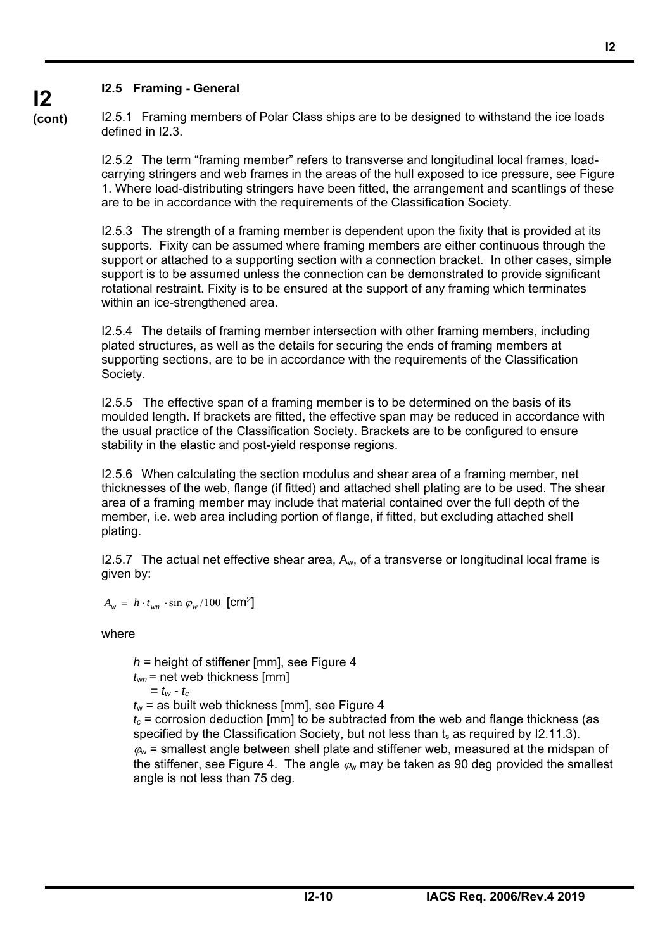## **I2.5 Framing - General**

**(cont)** I2.5.1 Framing members of Polar Class ships are to be designed to withstand the ice loads defined in I2.3.

> I2.5.2 The term "framing member" refers to transverse and longitudinal local frames, loadcarrying stringers and web frames in the areas of the hull exposed to ice pressure, see Figure 1. Where load-distributing stringers have been fitted, the arrangement and scantlings of these are to be in accordance with the requirements of the Classification Society.

> I2.5.3 The strength of a framing member is dependent upon the fixity that is provided at its supports. Fixity can be assumed where framing members are either continuous through the support or attached to a supporting section with a connection bracket. In other cases, simple support is to be assumed unless the connection can be demonstrated to provide significant rotational restraint. Fixity is to be ensured at the support of any framing which terminates within an ice-strengthened area.

I2.5.4 The details of framing member intersection with other framing members, including plated structures, as well as the details for securing the ends of framing members at supporting sections, are to be in accordance with the requirements of the Classification Society.

I2.5.5 The effective span of a framing member is to be determined on the basis of its moulded length. If brackets are fitted, the effective span may be reduced in accordance with the usual practice of the Classification Society. Brackets are to be configured to ensure stability in the elastic and post-yield response regions.

I2.5.6 When calculating the section modulus and shear area of a framing member, net thicknesses of the web, flange (if fitted) and attached shell plating are to be used. The shear area of a framing member may include that material contained over the full depth of the member, i.e. web area including portion of flange, if fitted, but excluding attached shell plating.

 $12.5.7$  The actual net effective shear area,  $A_w$ , of a transverse or longitudinal local frame is given by:

 $A_w = h \cdot t_{wm} \cdot \sin \varphi_w / 100$  [cm<sup>2</sup>]

where

֦

 *h* = height of stiffener [mm], see Figure 4  $t_{wn}$  = net web thickness [mm]  $= t_w - t_c$  $t_w$  = as built web thickness [mm], see Figure 4

 $t_c$  = corrosion deduction [mm] to be subtracted from the web and flange thickness (as specified by the Classification Society, but not less than  $t_s$  as required by I2.11.3).  $\omega$  = smallest angle between shell plate and stiffener web, measured at the midspan of the stiffener, see Figure 4. The angle  $\varphi$  may be taken as 90 deg provided the smallest angle is not less than 75 deg.

**I2** 

# **I2**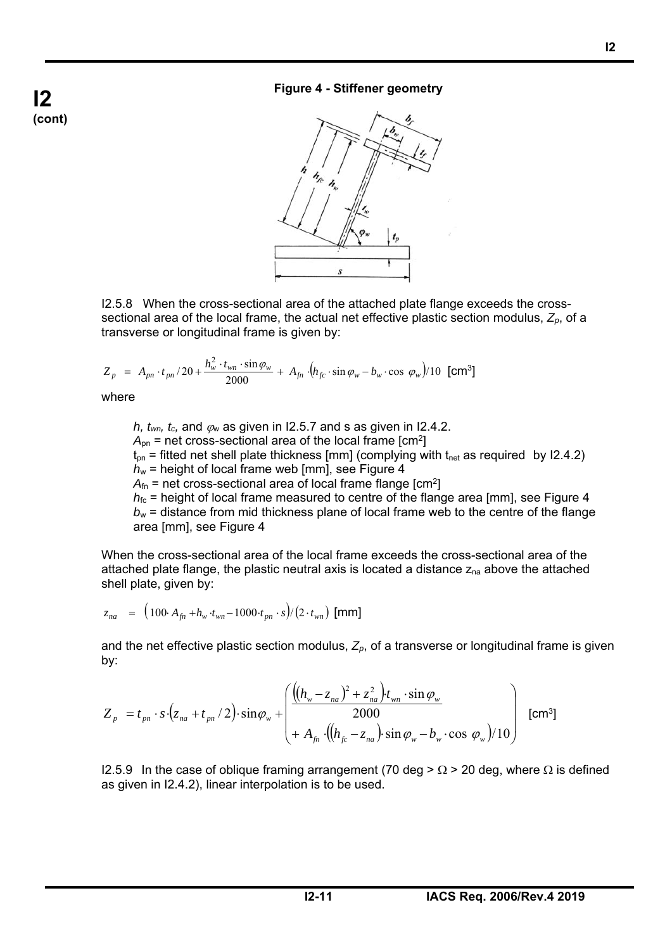## **Figure 4 - Stiffener geometry**



I2.5.8 When the cross-sectional area of the attached plate flange exceeds the crosssectional area of the local frame, the actual net effective plastic section modulus, *Zp*, of a transverse or longitudinal frame is given by:

$$
Z_p = A_{pn} \cdot t_{pn} / 20 + \frac{h_w^2 \cdot t_{wn} \cdot \sin \varphi_w}{2000} + A_{fn} \cdot (h_{fc} \cdot \sin \varphi_w - b_w \cdot \cos \varphi_w) / 10 \text{ [cm}^3\text{]}
$$

where

֦

*h, t<sub>wn</sub>, t<sub>c</sub>, and*  $\varphi$ *<sub>w</sub> as given in I2.5.7 and s as given in I2.4.2.*  $A_{pn}$  = net cross-sectional area of the local frame  $[cm^2]$  $t_{pn}$  = fitted net shell plate thickness [mm] (complying with  $t_{net}$  as required by I2.4.2)  $h_w$  = height of local frame web [mm], see Figure 4  $A_{fn}$  = net cross-sectional area of local frame flange  $[cm^2]$  $h_{\text{fc}}$  = height of local frame measured to centre of the flange area [mm], see Figure 4  $b_w$  = distance from mid thickness plane of local frame web to the centre of the flange area [mm], see Figure 4

When the cross-sectional area of the local frame exceeds the cross-sectional area of the attached plate flange, the plastic neutral axis is located a distance  $z_{na}$  above the attached shell plate, given by:

$$
z_{na} = (100 \cdot A_{fn} + h_w \cdot t_{wn} - 1000 \cdot t_{pn} \cdot s) / (2 \cdot t_{wn}) \text{ [mm]}
$$

and the net effective plastic section modulus,  $Z_p$ , of a transverse or longitudinal frame is given by:

$$
Z_{p} = t_{pn} \cdot s \cdot (z_{na} + t_{pn}/2) \cdot \sin \varphi_{w} + \begin{pmatrix} \frac{\left( (h_{w} - z_{na})^{2} + z_{na}^{2} \right) t_{wn} \cdot \sin \varphi_{w}}{2000} \\ + A_{fn} \cdot \left( (h_{fc} - z_{na}) \cdot \sin \varphi_{w} - b_{w} \cdot \cos \varphi_{w} \right) / 10 \end{pmatrix}
$$
 [cm<sup>3</sup>]

I2.5.9 In the case of oblique framing arrangement (70 deg >  $\Omega$  > 20 deg, where  $\Omega$  is defined as given in I2.4.2), linear interpolation is to be used.

**I2 (cont)**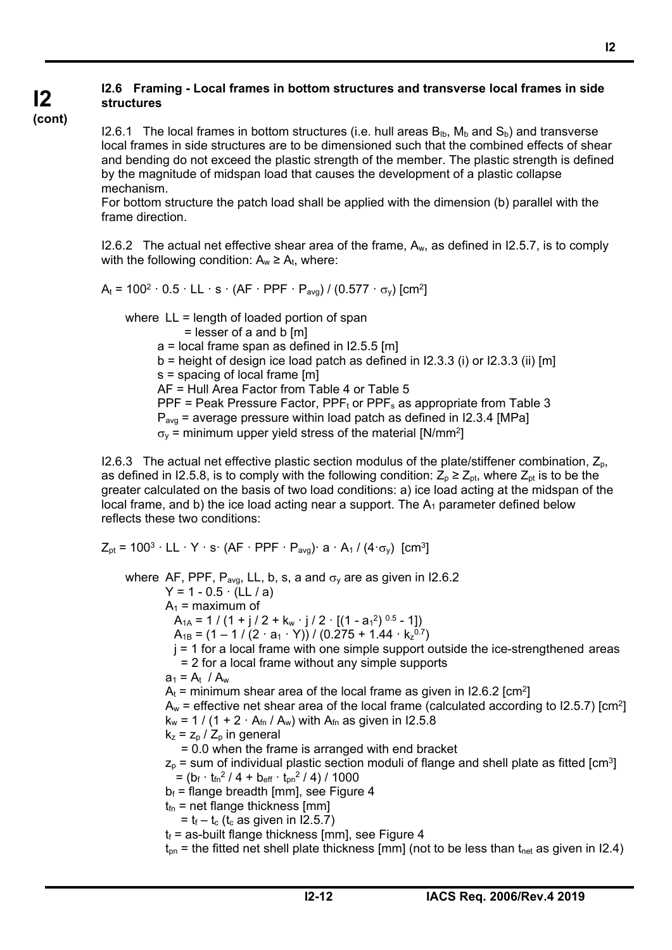#### **I2 I2.6 Framing - Local frames in bottom structures and transverse local frames in side structures**

#### **(cont)**

֦

I2.6.1 The local frames in bottom structures (i.e. hull areas  $B_{1b}$ ,  $M_b$  and  $S_b$ ) and transverse local frames in side structures are to be dimensioned such that the combined effects of shear and bending do not exceed the plastic strength of the member. The plastic strength is defined by the magnitude of midspan load that causes the development of a plastic collapse mechanism.

For bottom structure the patch load shall be applied with the dimension (b) parallel with the frame direction.

I2.6.2 The actual net effective shear area of the frame,  $A_w$ , as defined in I2.5.7, is to comply with the following condition:  $A_w \ge A_t$ , where:

 $A_t = 100^2 \cdot 0.5 \cdot LL \cdot s \cdot (AF \cdot PPF \cdot P_{ava}) / (0.577 \cdot \sigma_v)$  [cm<sup>2</sup>]

where LL = length of loaded portion of span = lesser of a and b [m]  $a =$  local frame span as defined in I2.5.5 [m]  $b =$  height of design ice load patch as defined in I2.3.3 (i) or I2.3.3 (ii) [m] s = spacing of local frame [m] AF = Hull Area Factor from Table 4 or Table 5 PPF = Peak Pressure Factor, PPF<sub>t</sub> or PPF<sub>s</sub> as appropriate from Table 3  $P_{\text{avg}}$  = average pressure within load patch as defined in I2.3.4 [MPa]  $\sigma_{\rm v}$  = minimum upper yield stress of the material [N/mm<sup>2</sup>]

I2.6.3 The actual net effective plastic section modulus of the plate/stiffener combination,  $Z_p$ , as defined in I2.5.8, is to comply with the following condition:  $Z_p \ge Z_{pt}$ , where  $Z_{pt}$  is to be the greater calculated on the basis of two load conditions: a) ice load acting at the midspan of the local frame, and b) the ice load acting near a support. The  $A_1$  parameter defined below reflects these two conditions:

 $Z_{pt}$  = 100<sup>3</sup>  $\cdot$  LL  $\cdot$  Y  $\cdot$  s $\cdot$  (AF  $\cdot$  PPF  $\cdot$  P<sub>avg</sub>) $\cdot$  a  $\cdot$  A<sub>1</sub> / (4 $\cdot$ <sub>0y</sub>) [cm<sup>3</sup>] where AF, PPF,  $P_{\text{avg}}$ , LL, b, s, a and  $\sigma_v$  are as given in I2.6.2  $Y = 1 - 0.5 \cdot (LL / a)$  $A_1$  = maximum of  $A_{1A} = 1 / (1 + j / 2 + k_w \cdot j / 2 \cdot [(1 - a_1^2)^{0.5} - 1])$  $A_{1B} = (1 - 1 / (2 \cdot a_1 \cdot Y)) / (0.275 + 1.44 \cdot k_z^{0.7})$  $j = 1$  for a local frame with one simple support outside the ice-strengthened areas = 2 for a local frame without any simple supports  $a_1 = A_t / A_w$  $A_t$  = minimum shear area of the local frame as given in I2.6.2 [cm<sup>2</sup>]  $A_w$  = effective net shear area of the local frame (calculated according to I2.5.7) [cm<sup>2</sup>]  $k_w = 1 / (1 + 2 \cdot A_{fn} / A_w)$  with  $A_{fn}$  as given in I2.5.8  $k_z = z_p / Z_p$  in general = 0.0 when the frame is arranged with end bracket  $z_p$  = sum of individual plastic section moduli of flange and shell plate as fitted  $\text{[cm]}^3$  $= (b_f \cdot t_m^2 / 4 + b_{eff} \cdot t_{pn}^2 / 4) / 1000$  $b_f$  = flange breadth [mm], see Figure 4  $t_{fn}$  = net flange thickness [mm]  $=$  t<sub>f</sub> – t<sub>c</sub> (t<sub>c</sub> as given in I2.5.7)  $t_f$  = as-built flange thickness [mm], see Figure 4  $t_{\text{on}}$  = the fitted net shell plate thickness [mm] (not to be less than  $t_{\text{net}}$  as given in I2.4)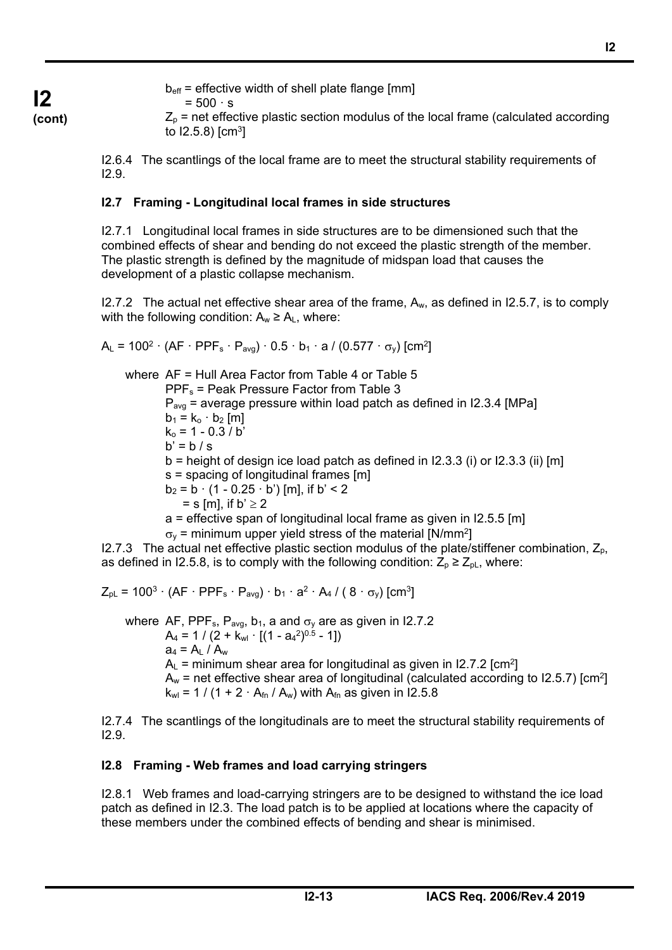**I2 (cont)**  $b_{\text{eff}}$  = effective width of shell plate flange [mm]

$$
= 500 \cdot s
$$

 $Z<sub>p</sub>$  = net effective plastic section modulus of the local frame (calculated according to  $12.5.8$ )  $\text{cm}^3$ 

I2.6.4 The scantlings of the local frame are to meet the structural stability requirements of I2.9.

## **I2.7 Framing - Longitudinal local frames in side structures**

I2.7.1 Longitudinal local frames in side structures are to be dimensioned such that the combined effects of shear and bending do not exceed the plastic strength of the member. The plastic strength is defined by the magnitude of midspan load that causes the development of a plastic collapse mechanism.

I2.7.2 The actual net effective shear area of the frame,  $A_w$ , as defined in I2.5.7, is to comply with the following condition:  $A_w \ge A_L$ , where:

 $A_L = 100^2 \cdot (AF \cdot PPF_s \cdot P_{avg}) \cdot 0.5 \cdot b_1 \cdot a / (0.577 \cdot \sigma_v)$  [cm<sup>2</sup>]

 where AF = Hull Area Factor from Table 4 or Table 5 PPFs = Peak Pressure Factor from Table 3  $P_{\text{ava}}$  = average pressure within load patch as defined in I2.3.4 [MPa]  $b_1 = k_0 \cdot b_2$  [m]  $k_0$  = 1 - 0.3 / b'  $b' = b / s$  $b =$  height of design ice load patch as defined in I2.3.3 (i) or I2.3.3 (ii) [m] s = spacing of longitudinal frames [m]  $b_2 = b \cdot (1 - 0.25 \cdot b')$  [m], if b' < 2  $=$  s [m], if b'  $\geq$  2 a = effective span of longitudinal local frame as given in I2.5.5 [m]  $\sigma_{\rm v}$  = minimum upper yield stress of the material [N/mm<sup>2</sup>]

I2.7.3 The actual net effective plastic section modulus of the plate/stiffener combination,  $Z_p$ , as defined in I2.5.8, is to comply with the following condition:  $Z_p \geq Z_{pL}$ , where:

$$
Z_{\rm pl} = 100^3 \cdot (AF \cdot PPF_s \cdot P_{\rm avg}) \cdot b_1 \cdot a^2 \cdot A_4 / (8 \cdot \sigma_y) \text{ [cm}^3\text{]}
$$

where AF, PPF<sub>s</sub>, P<sub>avg</sub>, b<sub>1</sub>, a and  $\sigma_y$  are as given in I2.7.2  $A_4 = 1 / (2 + k_{wl} \cdot [(1 - aa^2)^{0.5} - 1])$  $a_4 = A_L / A_w$  $A<sub>l</sub>$  = minimum shear area for longitudinal as given in I2.7.2 [cm<sup>2</sup>]  $A_w$  = net effective shear area of longitudinal (calculated according to I2.5.7) [cm<sup>2</sup>]  $k_{wl}$  = 1 / (1 + 2  $\cdot$  A<sub>fn</sub> / A<sub>w</sub>) with A<sub>fn</sub> as given in I2.5.8

I2.7.4 The scantlings of the longitudinals are to meet the structural stability requirements of I2.9.

## **I2.8 Framing - Web frames and load carrying stringers**

֦

I2.8.1 Web frames and load-carrying stringers are to be designed to withstand the ice load patch as defined in I2.3. The load patch is to be applied at locations where the capacity of these members under the combined effects of bending and shear is minimised.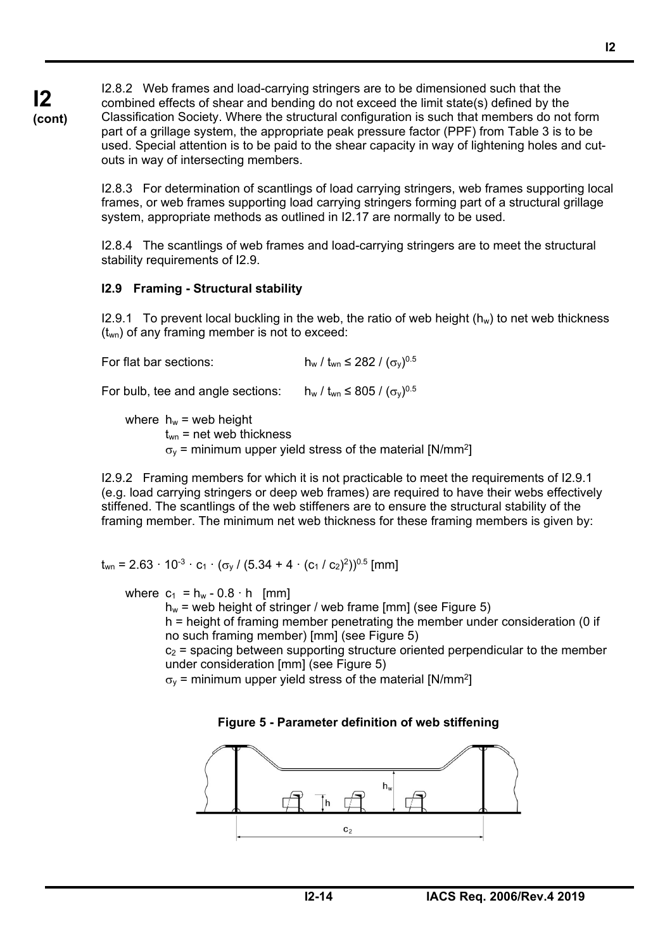I2.8.2 Web frames and load-carrying stringers are to be dimensioned such that the combined effects of shear and bending do not exceed the limit state(s) defined by the Classification Society. Where the structural configuration is such that members do not form part of a grillage system, the appropriate peak pressure factor (PPF) from Table 3 is to be used. Special attention is to be paid to the shear capacity in way of lightening holes and cutouts in way of intersecting members.

I2.8.3 For determination of scantlings of load carrying stringers, web frames supporting local frames, or web frames supporting load carrying stringers forming part of a structural grillage system, appropriate methods as outlined in I2.17 are normally to be used.

I2.8.4 The scantlings of web frames and load-carrying stringers are to meet the structural stability requirements of I2.9.

## **I2.9 Framing - Structural stability**

**I2 (cont)**

> I2.9.1 To prevent local buckling in the web, the ratio of web height  $(h_w)$  to net web thickness  $(t_{wn})$  of any framing member is not to exceed:

For flat bar sections:  $h_w / t_{wn} \leq 282 / (\sigma_v)^{0.5}$ 

For bulb, tee and angle sections:  $h_w / t_{wn} \leq 805 / (\sigma_v)^{0.5}$ 

where  $h_w$  = web height  $t_{wn}$  = net web thickness  $\sigma_{\rm v}$  = minimum upper yield stress of the material [N/mm<sup>2</sup>]

I2.9.2 Framing members for which it is not practicable to meet the requirements of I2.9.1 (e.g. load carrying stringers or deep web frames) are required to have their webs effectively stiffened. The scantlings of the web stiffeners are to ensure the structural stability of the framing member. The minimum net web thickness for these framing members is given by:

 $t_{wn} = 2.63 \cdot 10^{-3} \cdot c_1 \cdot (\sigma_v / (5.34 + 4 \cdot (c_1 / c_2)^2))^{0.5}$  [mm]

where  $c_1 = h_w - 0.8 \cdot h$  [mm]

֦

 $h_w$  = web height of stringer / web frame [mm] (see Figure 5) h = height of framing member penetrating the member under consideration (0 if

no such framing member) [mm] (see Figure 5)

 $c_2$  = spacing between supporting structure oriented perpendicular to the member under consideration [mm] (see Figure 5)

 $\sigma_{\rm v}$  = minimum upper yield stress of the material [N/mm<sup>2</sup>]

## **Figure 5 - Parameter definition of web stiffening**

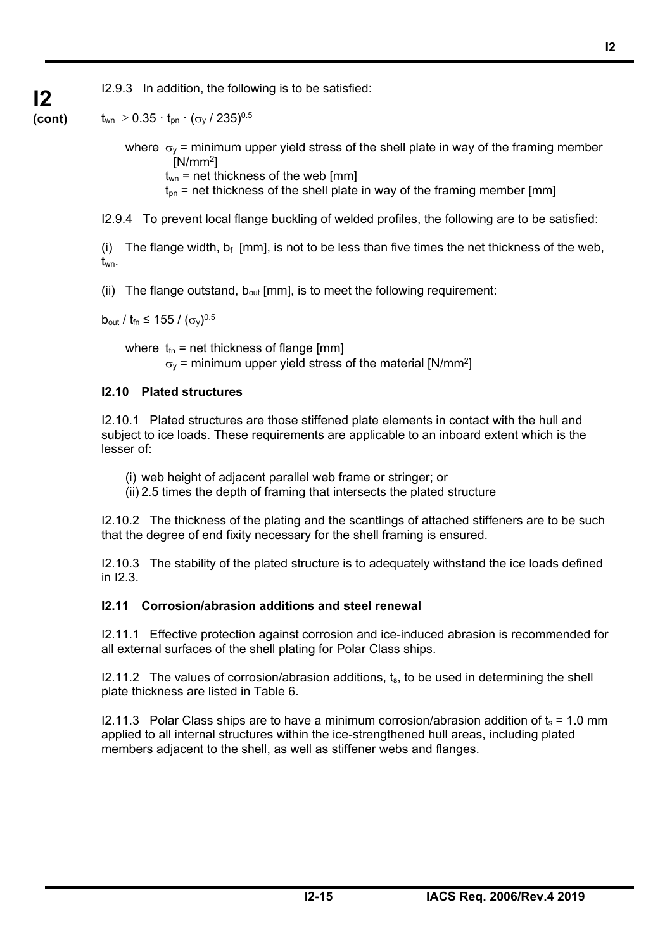I2.9.3 In addition, the following is to be satisfied:

**(cont)**  $t_{wn} \geq 0.35 \cdot t_{pn} \cdot (\sigma_v / 235)^{0.5}$ 

**I2** 

where  $\sigma_v$  = minimum upper yield stress of the shell plate in way of the framing member  $[N/mm^2]$ 

 $t_{wn}$  = net thickness of the web [mm]

 $t_{on}$  = net thickness of the shell plate in way of the framing member [mm]

I2.9.4 To prevent local flange buckling of welded profiles, the following are to be satisfied:

(i) The flange width,  $b_f$  [mm], is not to be less than five times the net thickness of the web, twn.

(ii) The flange outstand,  $b_{out}$  [mm], is to meet the following requirement:

 $b_{\text{out}} / t_{\text{fn}} \le 155 / (\sigma_v)^{0.5}$ 

֦

where  $t_{fn}$  = net thickness of flange [mm]  $\sigma_{\rm v}$  = minimum upper yield stress of the material [N/mm<sup>2</sup>]

## **I2.10 Plated structures**

I2.10.1 Plated structures are those stiffened plate elements in contact with the hull and subject to ice loads. These requirements are applicable to an inboard extent which is the lesser of:

- (i) web height of adjacent parallel web frame or stringer; or
- (ii) 2.5 times the depth of framing that intersects the plated structure

I2.10.2 The thickness of the plating and the scantlings of attached stiffeners are to be such that the degree of end fixity necessary for the shell framing is ensured.

I2.10.3 The stability of the plated structure is to adequately withstand the ice loads defined in I2.3.

## **I2.11 Corrosion/abrasion additions and steel renewal**

I2.11.1 Effective protection against corrosion and ice-induced abrasion is recommended for all external surfaces of the shell plating for Polar Class ships.

I2.11.2 The values of corrosion/abrasion additions, ts, to be used in determining the shell plate thickness are listed in Table 6.

I2.11.3 Polar Class ships are to have a minimum corrosion/abrasion addition of  $t_s = 1.0$  mm applied to all internal structures within the ice-strengthened hull areas, including plated members adjacent to the shell, as well as stiffener webs and flanges.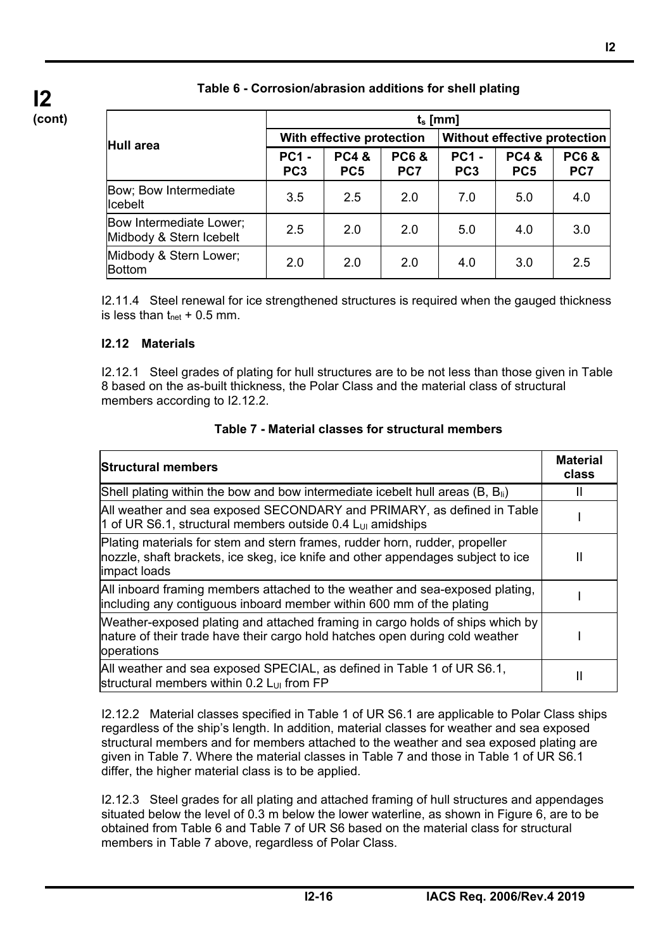|                                                    | $t_s$ [mm]                      |                                    |                        |                                 |                                    |                        |  |  |  |
|----------------------------------------------------|---------------------------------|------------------------------------|------------------------|---------------------------------|------------------------------------|------------------------|--|--|--|
| Hull area                                          |                                 | With effective protection          |                        | Without effective protection    |                                    |                        |  |  |  |
|                                                    | <b>PC1 -</b><br>PC <sub>3</sub> | <b>PC4&amp;</b><br>PC <sub>5</sub> | <b>PC6&amp;</b><br>PC7 | <b>PC1 -</b><br>PC <sub>3</sub> | <b>PC4&amp;</b><br>PC <sub>5</sub> | <b>PC6&amp;</b><br>PC7 |  |  |  |
| Bow; Bow Intermediate<br>licebelt                  | 3.5                             | 2.5                                | 2.0                    | 7.0                             | 5.0                                | 4.0                    |  |  |  |
| Bow Intermediate Lower;<br>Midbody & Stern Icebelt | 2.5                             | 2.0                                | 2.0                    | 5.0                             | 4.0                                | 3.0                    |  |  |  |
| Midbody & Stern Lower;<br>Bottom                   | 2.0                             | 2.0                                | 2.0                    | 4.0                             | 3.0                                | 2.5                    |  |  |  |

## **Table 6 - Corrosion/abrasion additions for shell plating**

I2.11.4 Steel renewal for ice strengthened structures is required when the gauged thickness is less than  $t_{net}$  + 0.5 mm.

#### **I2.12 Materials**

֦

I2.12.1 Steel grades of plating for hull structures are to be not less than those given in Table 8 based on the as-built thickness, the Polar Class and the material class of structural members according to I2.12.2.

#### **Table 7 - Material classes for structural members**

| <b>Structural members</b>                                                                                                                                                      | <b>Material</b><br>class |
|--------------------------------------------------------------------------------------------------------------------------------------------------------------------------------|--------------------------|
| Shell plating within the bow and bow intermediate icebelt hull areas $(B, B_{ii})$                                                                                             |                          |
| All weather and sea exposed SECONDARY and PRIMARY, as defined in Table<br>1 of UR S6.1, structural members outside 0.4 $L_{U1}$ amidships                                      |                          |
| Plating materials for stem and stern frames, rudder horn, rudder, propeller<br>nozzle, shaft brackets, ice skeg, ice knife and other appendages subject to ice<br>impact loads | н                        |
| All inboard framing members attached to the weather and sea-exposed plating,<br>including any contiguous inboard member within 600 mm of the plating                           |                          |
| Weather-exposed plating and attached framing in cargo holds of ships which by<br>nature of their trade have their cargo hold hatches open during cold weather<br>operations    |                          |
| All weather and sea exposed SPECIAL, as defined in Table 1 of UR S6.1,<br>structural members within 0.2 L <sub>UI</sub> from FP                                                | Ш                        |

I2.12.2 Material classes specified in Table 1 of UR S6.1 are applicable to Polar Class ships regardless of the ship's length. In addition, material classes for weather and sea exposed structural members and for members attached to the weather and sea exposed plating are given in Table 7. Where the material classes in Table 7 and those in Table 1 of UR S6.1 differ, the higher material class is to be applied.

I2.12.3 Steel grades for all plating and attached framing of hull structures and appendages situated below the level of 0.3 m below the lower waterline, as shown in Figure 6, are to be obtained from Table 6 and Table 7 of UR S6 based on the material class for structural members in Table 7 above, regardless of Polar Class.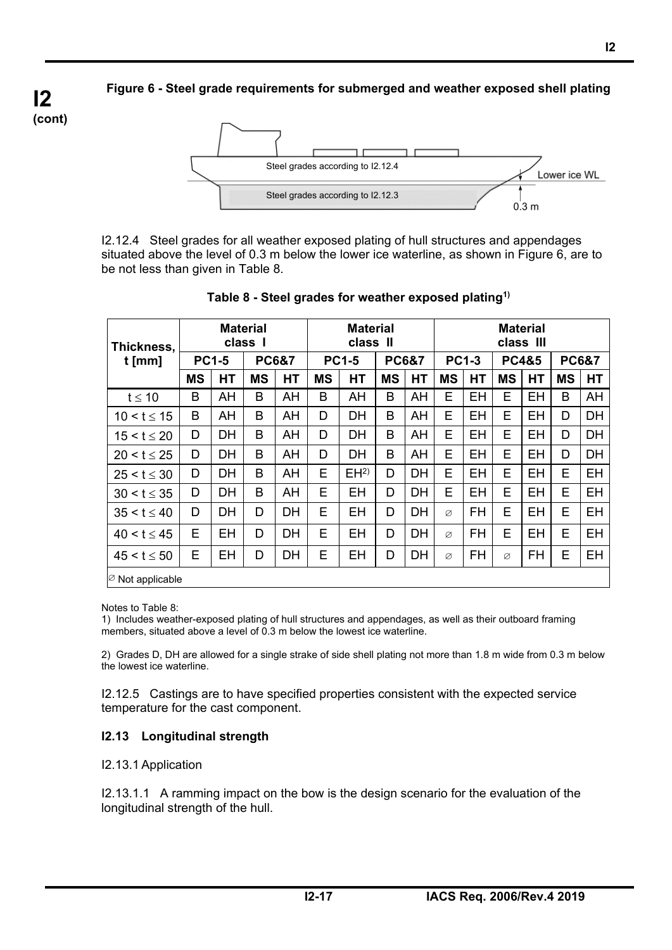**I2-17 IACS Req. 2006/Rev.4 2019** 

**Figure 6 - Steel grade requirements for submerged and weather exposed shell plating** 



I2.12.4 Steel grades for all weather exposed plating of hull structures and appendages situated above the level of 0.3 m below the lower ice waterline, as shown in Figure 6, are to be not less than given in Table 8.

| Thickness.                   | <b>Material</b><br>class I |           |                  |           | <b>Material</b><br>class II |                 |                  | <b>Material</b><br>class III |              |           |                  |           |                  |           |
|------------------------------|----------------------------|-----------|------------------|-----------|-----------------------------|-----------------|------------------|------------------------------|--------------|-----------|------------------|-----------|------------------|-----------|
| $t$ [mm]                     | <b>PC1-5</b>               |           | <b>PC6&amp;7</b> |           | <b>PC1-5</b>                |                 | <b>PC6&amp;7</b> |                              | <b>PC1-3</b> |           | <b>PC4&amp;5</b> |           | <b>PC6&amp;7</b> |           |
|                              | <b>MS</b>                  | HT        | <b>MS</b>        | HT        | <b>MS</b>                   | <b>HT</b>       | <b>MS</b>        | HT                           | <b>MS</b>    | <b>HT</b> | <b>MS</b>        | <b>HT</b> | <b>MS</b>        | <b>HT</b> |
| $t \leq 10$                  | B                          | AH        | B                | AH        | B                           | AH              | B                | AH                           | E            | EH        | E                | EH        | B                | AH        |
| $10 < t \le 15$              | B                          | AH        | B                | AH        | D                           | <b>DH</b>       | B                | AH                           | Е            | EH        | Е                | EH        | D                | DH        |
| $15 < t \leq 20$             | D                          | DН        | B                | AH        | D                           | <b>DH</b>       | B                | AH                           | E            | EH        | E                | EH        | D                | <b>DH</b> |
| $20 < t \le 25$              | D                          | <b>DH</b> | B                | AH        | D                           | <b>DH</b>       | B                | AH                           | E            | EH        | E                | EH        | D                | <b>DH</b> |
| $25 < t \leq 30$             | D                          | DH        | B                | AH        | E                           | EH <sup>2</sup> | D                | DH                           | E            | EH        | E                | EH        | E                | EH        |
| $30 < t \leq 35$             | D                          | <b>DH</b> | B                | AH        | E                           | <b>EH</b>       | D                | DH                           | E            | <b>EH</b> | E                | <b>EH</b> | E                | EH        |
| $35 < t \leq 40$             | D                          | DH        | D                | <b>DH</b> | E                           | EH              | D                | DH                           | Ø            | <b>FH</b> | E                | EH        | E                | EH        |
| $40 < t \le 45$              | E                          | EH        | D                | DH        | E                           | EH              | D                | DH                           | Ø            | FH        | E                | EH        | E                | EH        |
| $45 < t \le 50$              | Е                          | EH        | D                | DH        | Е                           | EH              | D                | DH                           | Ø            | FH        | Ø                | FH        | Е                | EH        |
| $\varnothing$ Not applicable |                            |           |                  |           |                             |                 |                  |                              |              |           |                  |           |                  |           |

## **Table 8 - Steel grades for weather exposed plating1)**

Notes to Table 8:

1) Includes weather-exposed plating of hull structures and appendages, as well as their outboard framing members, situated above a level of 0.3 m below the lowest ice waterline.

2) Grades D, DH are allowed for a single strake of side shell plating not more than 1.8 m wide from 0.3 m below the lowest ice waterline.

I2.12.5 Castings are to have specified properties consistent with the expected service temperature for the cast component.

## **I2.13 Longitudinal strength**

#### I2.13.1 Application

֦

I2.13.1.1 A ramming impact on the bow is the design scenario for the evaluation of the longitudinal strength of the hull.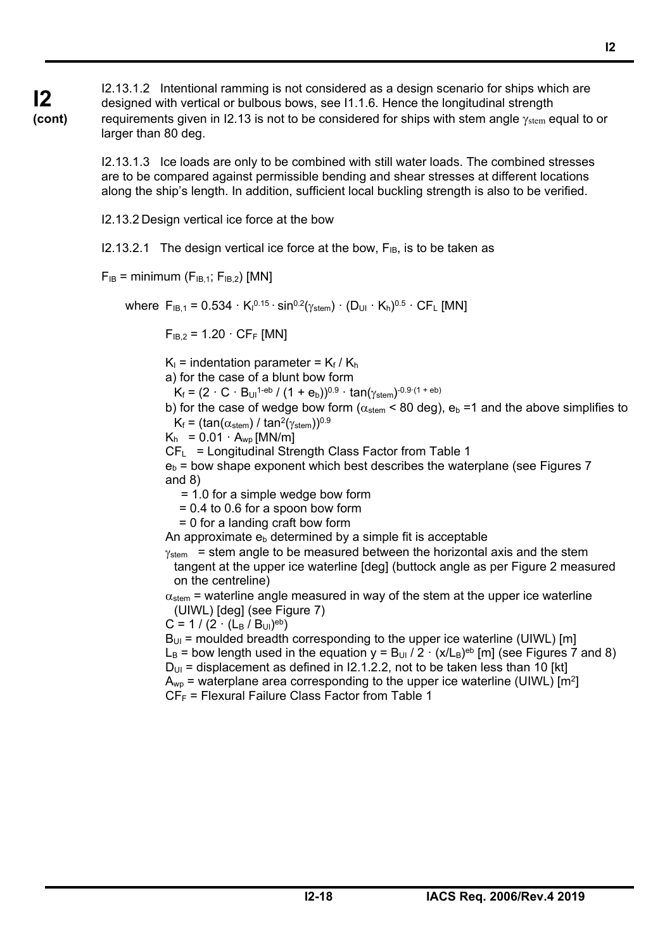**I2 (cont)** I2.13.1.2 Intentional ramming is not considered as a design scenario for ships which are designed with vertical or bulbous bows, see I1.1.6. Hence the longitudinal strength requirements given in I2.13 is not to be considered for ships with stem angle  $\gamma_{\rm stem}$  equal to or larger than 80 deg.

> I2.13.1.3 Ice loads are only to be combined with still water loads. The combined stresses are to be compared against permissible bending and shear stresses at different locations along the ship's length. In addition, sufficient local buckling strength is also to be verified.

I2.13.2 Design vertical ice force at the bow

I2.13.2.1 The design vertical ice force at the bow,  $F_{IB}$ , is to be taken as

 $F_{IB}$  = minimum ( $F_{IB,1}$ ;  $F_{IB,2}$ ) [MN]

where  $F_{IB,1} = 0.534 \cdot K_1^{0.15} \cdot \sin^{0.2}(\gamma_{\text{stem}}) \cdot (D_{UI} \cdot K_h)^{0.5} \cdot CF_L$  [MN]

 $F_{IB,2} = 1.20 \cdot C F_F$  [MN]

 $K_1$  = indentation parameter =  $K_f / K_h$ 

a) for the case of a blunt bow form

 $K_f = (2 \cdot C \cdot B_{U1}^{1-eb} / (1 + e_b))^{0.9} \cdot \tan(\gamma_{stem})^{0.9 \cdot (1+eb)}$ 

b) for the case of wedge bow form ( $\alpha_{\text{stem}}$  < 80 deg), e<sub>b</sub> =1 and the above simplifies to  $K_f = (tan(\alpha_{stem}) / tan^2(\gamma_{stem}))^{0.9}$ 

 $K_h = 0.01 \cdot A_{wp}$  [MN/m]

 $CF<sub>L</sub> =$  Longitudinal Strength Class Factor from Table 1

 $e_b$  = bow shape exponent which best describes the waterplane (see Figures 7 and 8)

= 1.0 for a simple wedge bow form

= 0.4 to 0.6 for a spoon bow form

= 0 for a landing craft bow form

An approximate  $e<sub>b</sub>$  determined by a simple fit is acceptable

 $v_{\text{stem}}$  = stem angle to be measured between the horizontal axis and the stem tangent at the upper ice waterline [deg] (buttock angle as per Figure 2 measured on the centreline)

 $\alpha_{\rm stem}$  = waterline angle measured in way of the stem at the upper ice waterline (UIWL) [deg] (see Figure 7)

 $C = 1 / (2 \cdot (L_B / B_{UI})^{eb})$ 

֦

 $B_{\text{UL}}$  = moulded breadth corresponding to the upper ice waterline (UIWL) [m]  $L_B$  = bow length used in the equation  $y = B_{U1} / 2 \cdot (x/L_B)^{eb}$  [m] (see Figures 7 and 8)  $D_{UI}$  = displacement as defined in I2.1.2.2, not to be taken less than 10 [kt]  $A_{wp}$  = waterplane area corresponding to the upper ice waterline (UIWL) [m<sup>2</sup>]  $CF_F$  = Flexural Failure Class Factor from Table 1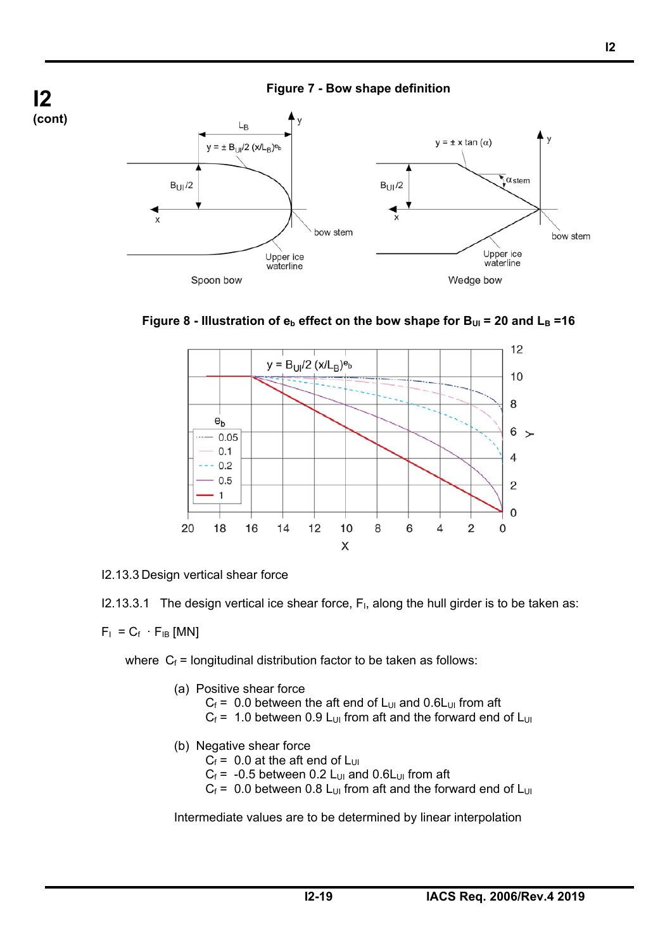





I2.13.3 Design vertical shear force

 $12.13.3.1$  The design vertical ice shear force,  $F<sub>1</sub>$ , along the hull girder is to be taken as:

 $F_1 = C_f \cdot F_{IB}$  [MN]

֦

where  $C_f$  = longitudinal distribution factor to be taken as follows:

- (a) Positive shear force
	- $C_f = 0.0$  between the aft end of L<sub>UI</sub> and 0.6L<sub>UI</sub> from aft
	- $C_f$  = 1.0 between 0.9 L<sub>UI</sub> from aft and the forward end of L<sub>UI</sub>
- (b) Negative shear force

 $C_f$  = 0.0 at the aft end of L<sub>UI</sub>

- $C_f$  = -0.5 between 0.2 L<sub>UI</sub> and 0.6L<sub>UI</sub> from aft
- $C_f$  = 0.0 between 0.8 L<sub>UI</sub> from aft and the forward end of L<sub>UI</sub>

Intermediate values are to be determined by linear interpolation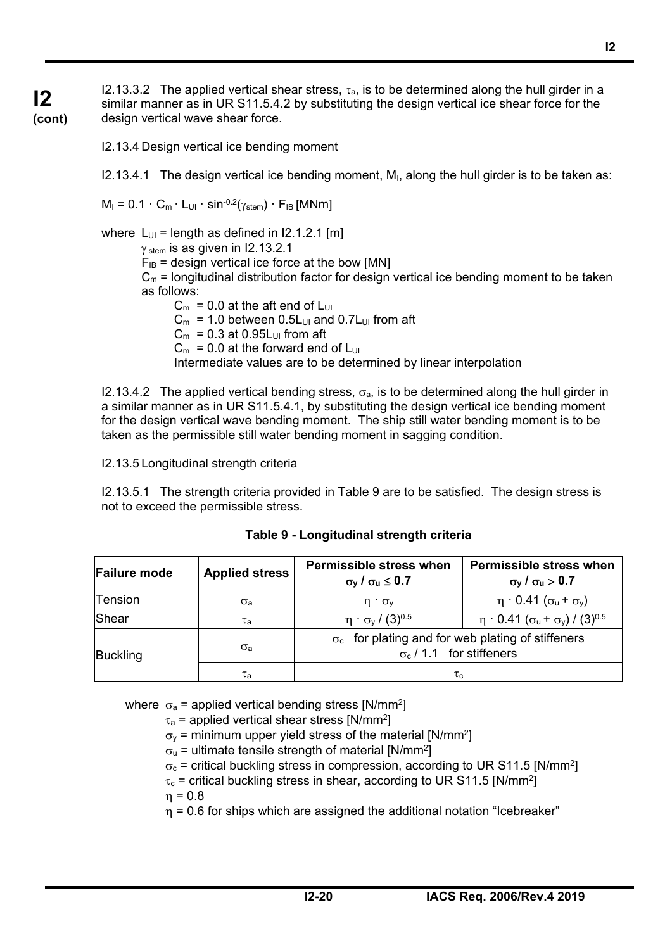I2.13.3.2 The applied vertical shear stress,  $\tau_{a}$ , is to be determined along the hull girder in a similar manner as in UR S11.5.4.2 by substituting the design vertical ice shear force for the design vertical wave shear force.

**I2 (cont)**

I2.13.4 Design vertical ice bending moment

 $I2.13.4.1$  The design vertical ice bending moment, M<sub>I</sub>, along the hull girder is to be taken as:

 $M_1 = 0.1 \cdot C_m \cdot L_{U1} \cdot \sin^{-0.2}(\gamma_{stem}) \cdot F_{IB}$  [MNm]

where  $L_{UI}$  = length as defined in I2.1.2.1 [m]

 $\gamma$ <sub>stem</sub> is as given in I2.13.2.1

 $F_{IB}$  = design vertical ice force at the bow [MN]

 $C_m$  = longitudinal distribution factor for design vertical ice bending moment to be taken as follows:

 $C_m = 0.0$  at the aft end of L<sub>UI</sub>  $C_m$  = 1.0 between 0.5L<sub>UI</sub> and 0.7L<sub>UI</sub> from aft  $C_m = 0.3$  at 0.95L<sub>UI</sub> from aft  $C_m = 0.0$  at the forward end of  $L_{U1}$ Intermediate values are to be determined by linear interpolation

I2.13.4.2 The applied vertical bending stress,  $\sigma_{a}$ , is to be determined along the hull girder in a similar manner as in UR S11.5.4.1, by substituting the design vertical ice bending moment for the design vertical wave bending moment. The ship still water bending moment is to be taken as the permissible still water bending moment in sagging condition.

I2.13.5 Longitudinal strength criteria

I2.13.5.1 The strength criteria provided in Table 9 are to be satisfied. The design stress is not to exceed the permissible stress.

| <b>Failure mode</b> | <b>Applied stress</b> | <b>Permissible stress when</b><br>$\sigma_y$ / $\sigma_u \leq 0.7$                          | Permissible stress when<br>$\sigma_v$ / $\sigma_u$ > 0.7       |  |  |  |
|---------------------|-----------------------|---------------------------------------------------------------------------------------------|----------------------------------------------------------------|--|--|--|
| Tension             | $\sigma$ <sub>a</sub> | $\eta \cdot \sigma_v$                                                                       | $\eta \cdot 0.41$ ( $\sigma_u + \sigma_v$ )                    |  |  |  |
| Shear               | $\tau_{\mathsf{a}}$   | $\eta \cdot \sigma_v / (3)^{0.5}$                                                           | $\eta$ · 0.41 ( $\sigma_u$ + $\sigma_v$ ) / (3) <sup>0.5</sup> |  |  |  |
| Buckling            | $\sigma$ <sub>a</sub> | $\sigma_c$ for plating and for web plating of stiffeners<br>$\sigma_c$ / 1.1 for stiffeners |                                                                |  |  |  |
|                     | $\tau_{\rm a}$        | $\tau_{\rm c}$                                                                              |                                                                |  |  |  |

**Table 9 - Longitudinal strength criteria** 

where  $\sigma_a$  = applied vertical bending stress [N/mm<sup>2</sup>]

 $\tau_a$  = applied vertical shear stress [N/mm<sup>2</sup>]

 $\sigma_{\rm v}$  = minimum upper yield stress of the material [N/mm<sup>2</sup>]

 $\sigma_{\rm u}$  = ultimate tensile strength of material [N/mm<sup>2</sup>]

 $\sigma_c$  = critical buckling stress in compression, according to UR S11.5 [N/mm<sup>2</sup>]

 $\tau_c$  = critical buckling stress in shear, according to UR S11.5 [N/mm<sup>2</sup>]

 $\eta = 0.8$ 

֦

 $\eta$  = 0.6 for ships which are assigned the additional notation "Icebreaker"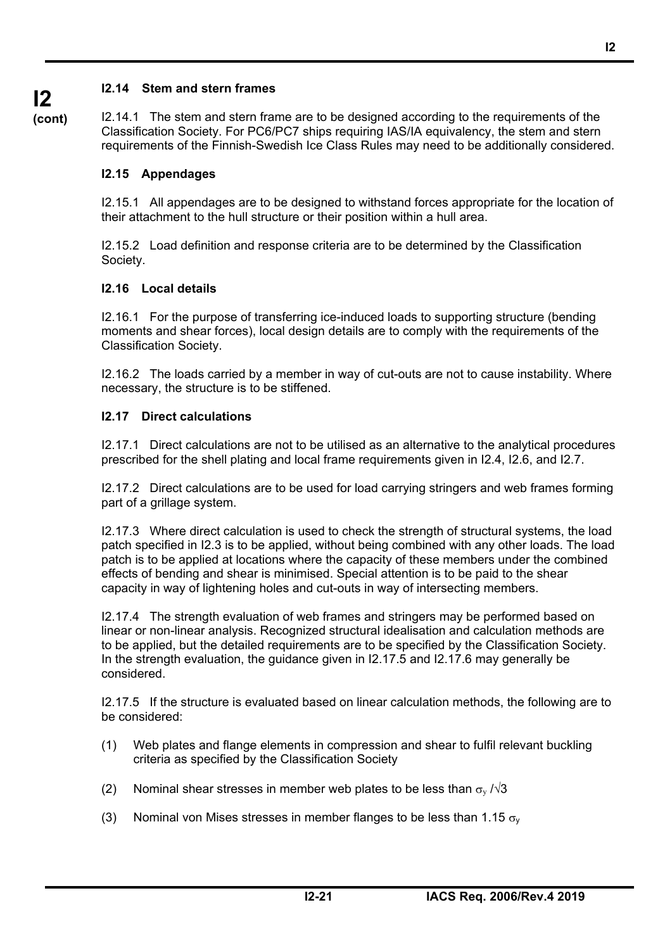## **I2.14 Stem and stern frames**

**(cont)**

**I2** 

I2.14.1 The stem and stern frame are to be designed according to the requirements of the Classification Society. For PC6/PC7 ships requiring IAS/IA equivalency, the stem and stern requirements of the Finnish-Swedish Ice Class Rules may need to be additionally considered.

## **I2.15 Appendages**

I2.15.1 All appendages are to be designed to withstand forces appropriate for the location of their attachment to the hull structure or their position within a hull area.

I2.15.2 Load definition and response criteria are to be determined by the Classification Society.

## **I2.16 Local details**

I2.16.1 For the purpose of transferring ice-induced loads to supporting structure (bending moments and shear forces), local design details are to comply with the requirements of the Classification Society.

I2.16.2 The loads carried by a member in way of cut-outs are not to cause instability. Where necessary, the structure is to be stiffened.

## **I2.17 Direct calculations**

֦

I2.17.1 Direct calculations are not to be utilised as an alternative to the analytical procedures prescribed for the shell plating and local frame requirements given in I2.4, I2.6, and I2.7.

I2.17.2 Direct calculations are to be used for load carrying stringers and web frames forming part of a grillage system.

I2.17.3 Where direct calculation is used to check the strength of structural systems, the load patch specified in I2.3 is to be applied, without being combined with any other loads. The load patch is to be applied at locations where the capacity of these members under the combined effects of bending and shear is minimised. Special attention is to be paid to the shear capacity in way of lightening holes and cut-outs in way of intersecting members.

I2.17.4 The strength evaluation of web frames and stringers may be performed based on linear or non-linear analysis. Recognized structural idealisation and calculation methods are to be applied, but the detailed requirements are to be specified by the Classification Society. In the strength evaluation, the guidance given in I2.17.5 and I2.17.6 may generally be considered.

I2.17.5 If the structure is evaluated based on linear calculation methods, the following are to be considered:

- (1) Web plates and flange elements in compression and shear to fulfil relevant buckling criteria as specified by the Classification Society
- (2) Nominal shear stresses in member web plates to be less than  $\sigma_{v}$  / $\sqrt{3}$
- (3) Nominal von Mises stresses in member flanges to be less than 1.15  $\sigma_{v}$